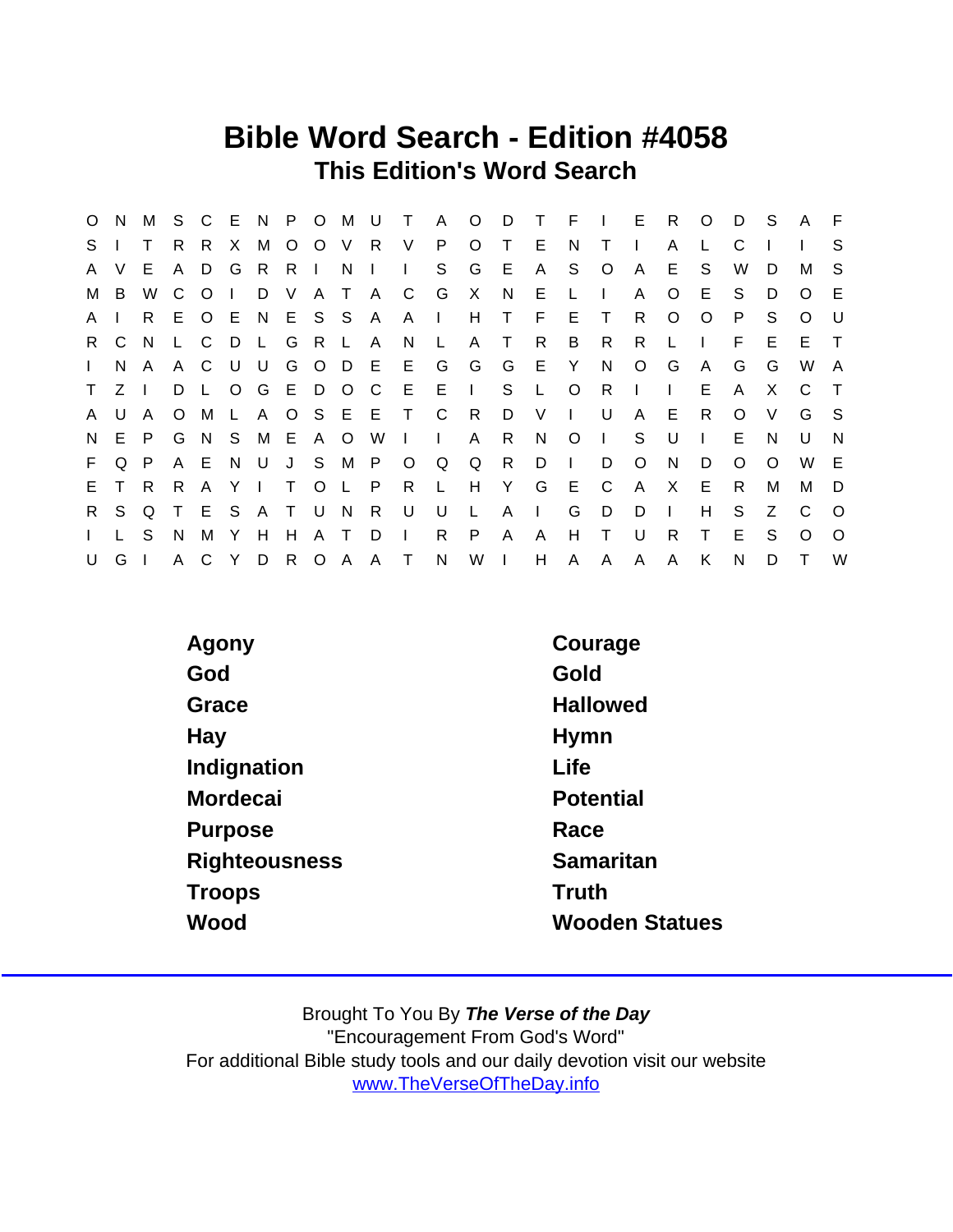## Bible Word Search - Edition #4058 This Edition's Word Search

| $\circ$      | N.        | M   |              | S C     |              | E N P O M U |                |         |              |              | $\top$        |              | A O D T        |              |              | $F \cup$     |            | E.           | R.           | $\circ$      | D        | - S      | A        | - F          |
|--------------|-----------|-----|--------------|---------|--------------|-------------|----------------|---------|--------------|--------------|---------------|--------------|----------------|--------------|--------------|--------------|------------|--------------|--------------|--------------|----------|----------|----------|--------------|
| S.           |           | T   | R.           | R.      | X.           | M           |                |         | O O V R      |              | V.            | P.           | $\circ$        | T.           | E            | N.           | T.         |              | A            |              | C        |          |          | S.           |
| A            | V         | E.  | $\mathsf{A}$ | D       | G            | R           | R <sub>1</sub> |         | N            | $\mathbf{I}$ | $\mathbf{L}$  | S            | G              | E            | A            | S.           | $\circ$    | $\mathsf{A}$ | E.           | S            | W        | D        | M        | -S           |
|              | M B       | W   | C.           | $\circ$ | $\mathbf{L}$ | D           | V.             |         | A T A        |              | C             | G            | X              | N.           | E.           | $\mathbf{L}$ |            | A            | O            | E.           | S.       | D        | $\Omega$ | E            |
| A.           |           | R   |              | E O     | E.           |             |                |         | N E S S A    |              | A I           |              | H.             | T.           | -F.          | E.           | T.         | R.           | O            | $\Omega$     | P        | S.       | $\Omega$ | U            |
|              | R C       | - N | $\mathsf{L}$ | C.      | D            | L           |                | G R     | L A          |              | N             | $\perp$      | A              | T.           | R.           | B            | R,         | R.           |              |              | F        | E        | E.       | $\top$       |
| $\mathbf{L}$ | N.        | A   |              | A C     | U.           | U.          |                | G O     |              | D E          | E.            | G            | G              | G            | E Y          |              | N.         | $\circ$      | G            | $\mathsf{A}$ | G        | G        | W        | $\mathsf{A}$ |
| $\mathsf{T}$ | $Z \perp$ |     | D            |         | $\circ$      | G E D O C   |                |         |              |              | - E           | - E -        | $\mathbb{R}^n$ | S.           | $\mathsf{L}$ | $\circ$      | R.         |              | $\mathbf{I}$ | E.           | A        | X        | C.       | $\top$       |
| A            | U         | A   | $\circ$      | M       | L.           |             |                |         |              |              | A O S E E T C |              | R              | D            | V            | $\mathbf{I}$ | U          | A            | E            | R            | $\circ$  | $\vee$   | G        | -S           |
| N.           | E         | P.  |              | G N     | -S           | M E A O     |                |         |              | W            | $\mathbf{I}$  | $\mathbf{I}$ | A              | R            | N            | $\circ$      | $\sim 1$ . | S.           | $\cup$       | $\mathbf{I}$ | E        | N        | U        | N            |
| F.           | Q         | P   | A E          |         | N,           |             | U J            | S.      | M P          |              | $\circ$       | Q            | Q              | $\mathsf{R}$ | D            | $\Box$       | D          | $\circ$      | N.           | D            | $\Omega$ | $\Omega$ | W        | -E           |
| E.           |           | R.  | R.           | A       | Y            |             | T.             | $\circ$ | $\mathsf{L}$ | $\mathsf{P}$ | R.            | $\perp$      | H              | Y            | G            | E            | C          | A            | X            | E.           | R.       | M        | M        | D            |
| $R_{\perp}$  | S.        | Q   | $\top$       | E.      | S.           | A T         |                | U.      | N            | R.           | U             | U            | L              | A            | $\mathbf{I}$ | G            | D          | D            | Ι.           | H            | S.       | Z        | C        | $\Omega$     |
| $\mathbf{L}$ |           | S   | N            | М       | Y            | H           | H              | A       | $\top$       | D            | $\mathbf{I}$  | R.           | P              | A            | A            | H            | T.         | U            | R.           | Τ            | E        | S        | $\Omega$ | $\Omega$     |
| U            | G I       |     | $\mathsf{A}$ | C.      |              | Y D         |                | R O     |              |              | A A T N       |              | W <sub>1</sub> |              | H            | A            | A          | A            | A            | K            | N        | D        | Τ        | W            |

| Agony                | Courage               |
|----------------------|-----------------------|
| God                  | Gold                  |
| Grace                | <b>Hallowed</b>       |
| Hay                  | <b>Hymn</b>           |
| Indignation          | Life                  |
| Mordecai             | Potential             |
| Purpose              | Race                  |
| <b>Righteousness</b> | Samaritan             |
| Troops               | Truth                 |
| Wood                 | <b>Wooden Statues</b> |
|                      |                       |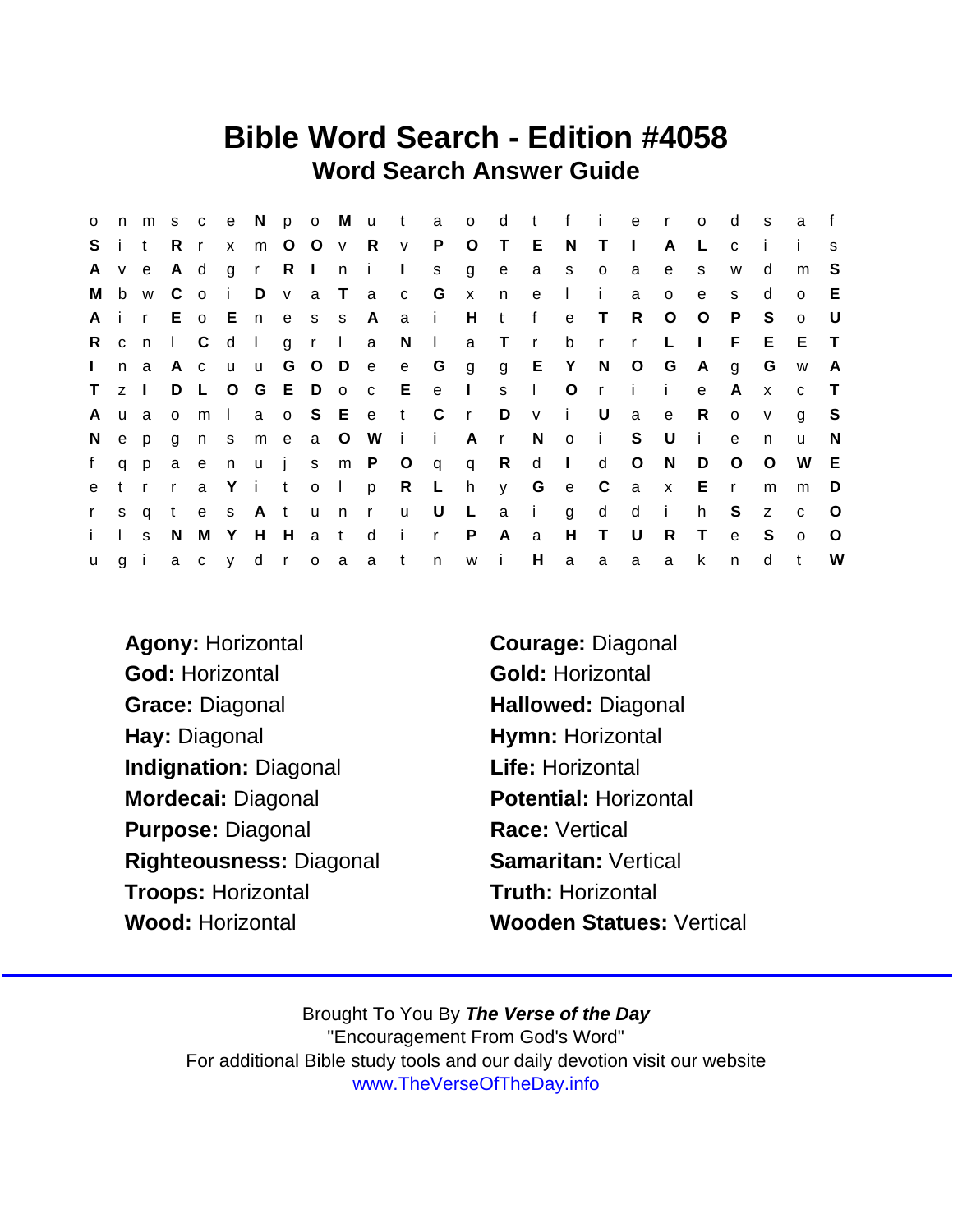## Bible Word Search - Edition #4058 Word Search Answer Guide

| $\circ$      |              |              |                                  |            |              |      |                 |              |                       |                |              |              | n m s c e N p o M u t a o d t f i e r |              |                |              |                 | $\overline{O}$ | d            | S.           | a            | f            |
|--------------|--------------|--------------|----------------------------------|------------|--------------|------|-----------------|--------------|-----------------------|----------------|--------------|--------------|---------------------------------------|--------------|----------------|--------------|-----------------|----------------|--------------|--------------|--------------|--------------|
| S.           |              | i t          | Rr                               |            | $\mathsf{x}$ |      | m O O v R       |              | V                     | P.             | O T          |              | E                                     | N            | $\top$         | $\Box$       | A               | L              | $\mathbf{C}$ |              |              | $\mathbf{s}$ |
| A            |              | v e          | A d                              |            | $g$ r        | R In |                 | $\mathbf{I}$ | $\Box$                | S              | g            | $\mathbf{e}$ | $\mathsf{a}$                          | S            | $\overline{O}$ | a            | e               | s              | W            | d            | m            | -S           |
| M            |              | b w C        |                                  |            |              |      | o i Dva Ta      |              | $\mathbf{C}$          | <b>G</b>       | $\mathsf{X}$ | n            | e                                     | $\mathbf{1}$ | -i-            | a            | $\circ$         | e              | S.           | d            | $\circ$      | E            |
| A            |              | i r          |                                  |            |              |      | E o E n e s s A |              | a a                   | $\mathbf{i}$   | H            | $-t$         | f                                     | e            | $\top$         | $\mathsf{R}$ | $\circ$         | $\circ$        | P            | S.           | $\Omega$     | U            |
| R.           | c n          |              | $\begin{array}{ccc} \end{array}$ |            | $d \mid$     |      | grl             | a            | $N$                   |                |              | a T r        |                                       |              | b r r          |              | $\mathsf{L}$    | $\Box$         | F.           | E.           | E.           | $\top$       |
| $\mathbf{L}$ | n            | a            |                                  | Ac u u     |              |      | G O D e         |              | e G                   |                |              |              | gg EY                                 |              | N O            |              | G A             |                | g            | G            | W            | A            |
| T.           | $Z \mid$     |              |                                  |            |              |      |                 |              | D L O G E D o c E     | e I            |              | S            | $\sim 1$ .                            |              |                | $O$ r i i    |                 | $\mathbf{e}$   | $\mathsf{A}$ | $\mathsf{x}$ | $\mathbf{C}$ | $\top$       |
| A            | u a          |              |                                  | om I       |              |      |                 | a o S E e t  |                       | $\overline{C}$ | $\mathsf{r}$ | D            | $\mathbf{V}$                          | $\mathbf{i}$ | U              | a            | $\mathbf{e}$    | R.             | $\circ$      | $\mathsf{v}$ | g            | -S           |
| N.           | e p          |              |                                  |            |              |      | gnsmeaOW        |              | $\mathbf{i}$ i        |                | Ar           |              | <sup>N</sup>                          |              | $o$ i          | S U          |                 | - i            | e            | n.           | u            | <sup>N</sup> |
| f.           |              | q p          |                                  |            |              |      |                 |              | a e n u j s m P O q q |                |              | R            | $\mathsf{d}$                          | $\sim 1$ .   | d              | $\circ$      | N               | D              | $\circ$      | $\circ$      | W            | - E          |
| e            |              | trr          |                                  |            |              |      |                 |              | a Y i t o I p R L h   |                |              |              | y G e C                               |              |                | a x E        |                 |                | $\mathsf{r}$ | m            | m            | D            |
| $\mathbf{r}$ | S.           | $\mathsf{q}$ |                                  | tes Atun   |              |      |                 | $\mathbf{r}$ | <b>u</b>              | U              | $\mathsf{L}$ |              | a i                                   | g            | $\mathsf{d}$   | $\mathsf{d}$ | $\sim$ i $\sim$ | h              | S.           | Z            | $\mathbf{C}$ | $\circ$      |
| $\mathbf{i}$ | $\mathbf{L}$ | S.           | N.                               |            |              |      | M Y H H a t d   |              | i r                   |                | $\mathsf{P}$ | $\mathsf{A}$ | a                                     |              | $H$ T          | – U          | $\mathsf{R}$    | $\top$         | e            | - S          | $\circ$      | $\circ$      |
| <b>u</b>     |              |              |                                  | giacy droa |              |      |                 | a t          |                       | n              | $W$ $i$      |              | H                                     | a            | a              | a            | a               | k              | n            | d            | $\mathsf{t}$ | W            |

Agony: Horizontal Courage: Diagonal God: Horizontal Gold: Horizontal Grace: Diagonal **Hallowed: Diagonal** Hay: Diagonal Hymn: Horizontal Indignation: Diagonal **Life: Horizontal** Mordecai: Diagonal Potential: Horizontal Purpose: Diagonal Race: Vertical Righteousness: Diagonal Samaritan: Vertical Troops: Horizontal Truth: Horizontal Wood: Horizontal Wooden Statues: Vertical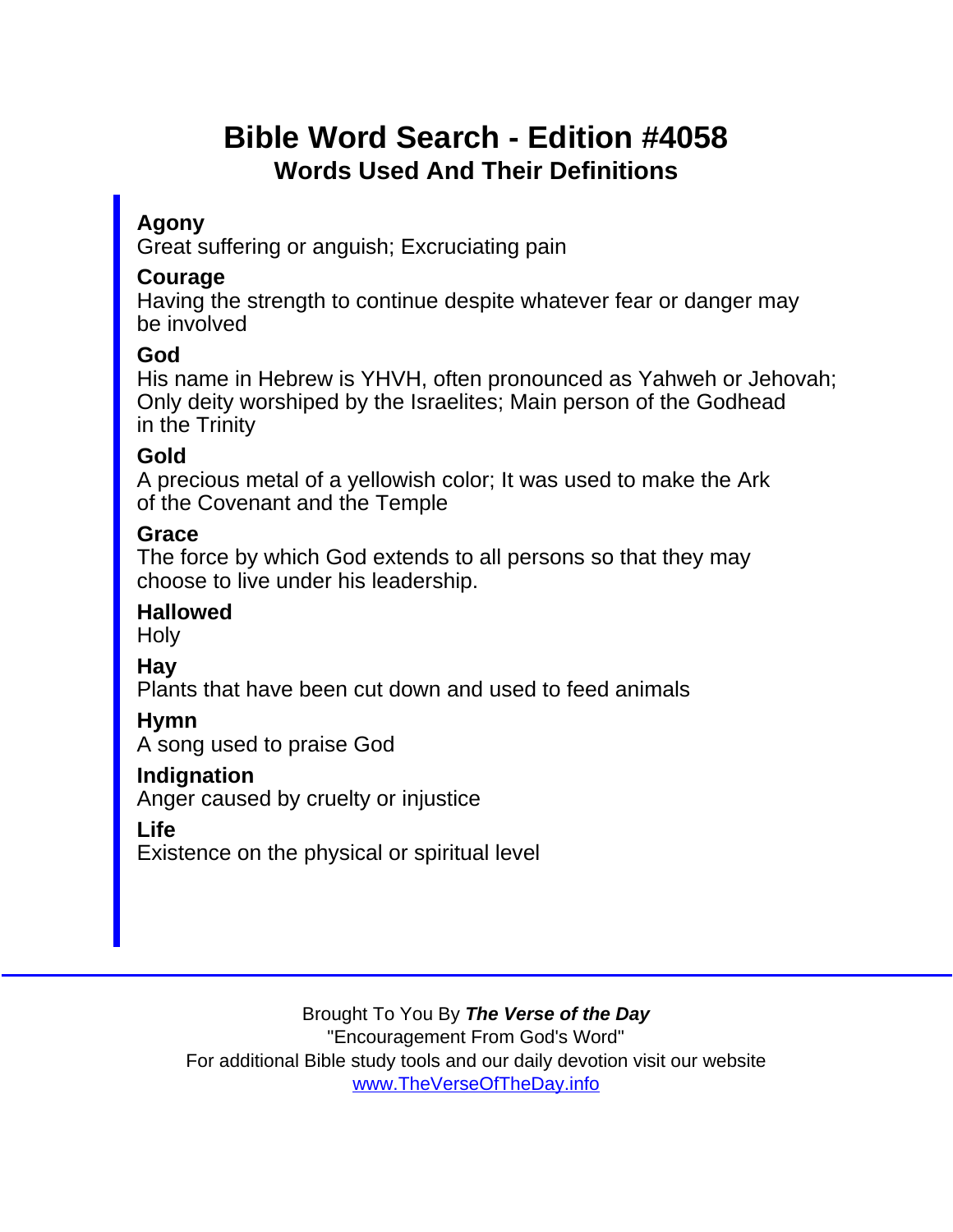# Bible Word Search - Edition #4058 Words Used And Their Definitions

### Agony

Great suffering or anguish; Excruciating pain

#### Courage

Having the strength to continue despite whatever fear or danger may be involved

#### God

His name in Hebrew is YHVH, often pronounced as Yahweh or Jehovah; Only deity worshiped by the Israelites; Main person of the Godhead in the Trinity

#### Gold

A precious metal of a yellowish color; It was used to make the Ark of the Covenant and the Temple

#### Grace

The force by which God extends to all persons so that they may choose to live under his leadership.

**Hallowed** 

**Holy** 

Hay

Plants that have been cut down and used to feed animals

Hymn

A song used to praise God

Indignation

Anger caused by cruelty or injustice

Life

Existence on the physical or spiritual level